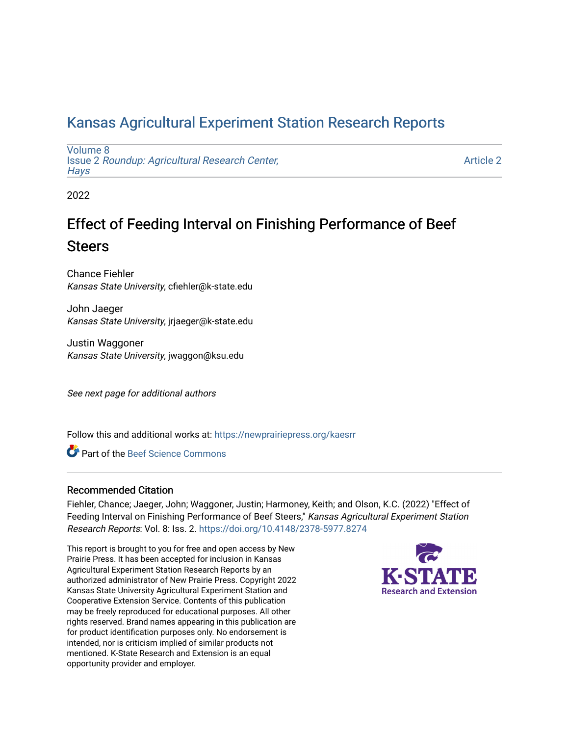## [Kansas Agricultural Experiment Station Research Reports](https://newprairiepress.org/kaesrr)

[Volume 8](https://newprairiepress.org/kaesrr/vol8) Issue 2 [Roundup: Agricultural Research Center,](https://newprairiepress.org/kaesrr/vol8/iss2)  **Hays** 

[Article 2](https://newprairiepress.org/kaesrr/vol8/iss2/2) 

2022

## Effect of Feeding Interval on Finishing Performance of Beef **Steers**

Chance Fiehler Kansas State University, cfiehler@k-state.edu

John Jaeger Kansas State University, jrjaeger@k-state.edu

Justin Waggoner Kansas State University, jwaggon@ksu.edu

See next page for additional authors

Follow this and additional works at: [https://newprairiepress.org/kaesrr](https://newprairiepress.org/kaesrr?utm_source=newprairiepress.org%2Fkaesrr%2Fvol8%2Fiss2%2F2&utm_medium=PDF&utm_campaign=PDFCoverPages) 

Part of the [Beef Science Commons](http://network.bepress.com/hgg/discipline/1404?utm_source=newprairiepress.org%2Fkaesrr%2Fvol8%2Fiss2%2F2&utm_medium=PDF&utm_campaign=PDFCoverPages) 

#### Recommended Citation

Fiehler, Chance; Jaeger, John; Waggoner, Justin; Harmoney, Keith; and Olson, K.C. (2022) "Effect of Feeding Interval on Finishing Performance of Beef Steers," Kansas Agricultural Experiment Station Research Reports: Vol. 8: Iss. 2.<https://doi.org/10.4148/2378-5977.8274>

This report is brought to you for free and open access by New Prairie Press. It has been accepted for inclusion in Kansas Agricultural Experiment Station Research Reports by an authorized administrator of New Prairie Press. Copyright 2022 Kansas State University Agricultural Experiment Station and Cooperative Extension Service. Contents of this publication may be freely reproduced for educational purposes. All other rights reserved. Brand names appearing in this publication are for product identification purposes only. No endorsement is intended, nor is criticism implied of similar products not mentioned. K-State Research and Extension is an equal opportunity provider and employer.

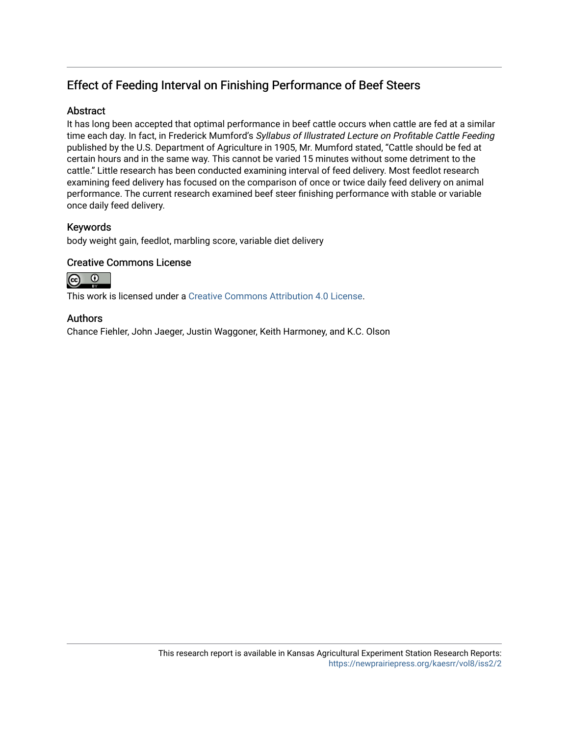## Effect of Feeding Interval on Finishing Performance of Beef Steers

#### Abstract

It has long been accepted that optimal performance in beef cattle occurs when cattle are fed at a similar time each day. In fact, in Frederick Mumford's Syllabus of Illustrated Lecture on Profitable Cattle Feeding published by the U.S. Department of Agriculture in 1905, Mr. Mumford stated, "Cattle should be fed at certain hours and in the same way. This cannot be varied 15 minutes without some detriment to the cattle." Little research has been conducted examining interval of feed delivery. Most feedlot research examining feed delivery has focused on the comparison of once or twice daily feed delivery on animal performance. The current research examined beef steer finishing performance with stable or variable once daily feed delivery.

#### Keywords

body weight gain, feedlot, marbling score, variable diet delivery

#### Creative Commons License



This work is licensed under a [Creative Commons Attribution 4.0 License](https://creativecommons.org/licenses/by/4.0/).

#### Authors

Chance Fiehler, John Jaeger, Justin Waggoner, Keith Harmoney, and K.C. Olson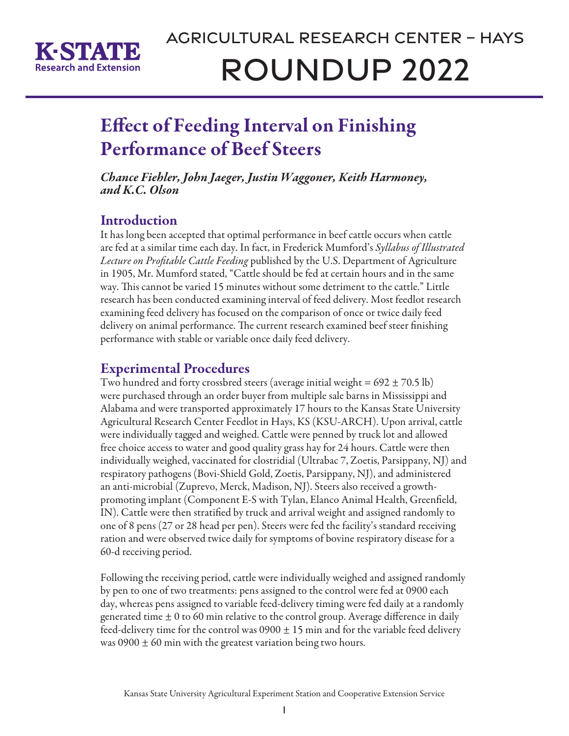

# Effect of Feeding Interval on Finishing Performance of Beef Steers

*Chance Fiehler, John Jaeger, Justin Waggoner, Keith Harmoney, and K.C. Olson*

## **Introduction**

It has long been accepted that optimal performance in beef cattle occurs when cattle are fed at a similar time each day. In fact, in Frederick Mumford's *Syllabus of Illustrated Lecture on Profitable Cattle Feeding* published by the U.S. Department of Agriculture in 1905, Mr. Mumford stated, "Cattle should be fed at certain hours and in the same way. This cannot be varied 15 minutes without some detriment to the cattle." Little research has been conducted examining interval of feed delivery. Most feedlot research examining feed delivery has focused on the comparison of once or twice daily feed delivery on animal performance. The current research examined beef steer finishing performance with stable or variable once daily feed delivery.

### Experimental Procedures

Two hundred and forty crossbred steers (average initial weight =  $692 \pm 70.5$  lb) were purchased through an order buyer from multiple sale barns in Mississippi and Alabama and were transported approximately 17 hours to the Kansas State University Agricultural Research Center Feedlot in Hays, KS (KSU-ARCH). Upon arrival, cattle were individually tagged and weighed. Cattle were penned by truck lot and allowed free choice access to water and good quality grass hay for 24 hours. Cattle were then individually weighed, vaccinated for clostridial (Ultrabac 7, Zoetis, Parsippany, NJ) and respiratory pathogens (Bovi-Shield Gold, Zoetis, Parsippany, NJ), and administered an anti-microbial (Zuprevo, Merck, Madison, NJ). Steers also received a growthpromoting implant (Component E-S with Tylan, Elanco Animal Health, Greenfield, IN). Cattle were then stratified by truck and arrival weight and assigned randomly to one of 8 pens (27 or 28 head per pen). Steers were fed the facility's standard receiving ration and were observed twice daily for symptoms of bovine respiratory disease for a 60-d receiving period.

Following the receiving period, cattle were individually weighed and assigned randomly by pen to one of two treatments: pens assigned to the control were fed at 0900 each day, whereas pens assigned to variable feed-delivery timing were fed daily at a randomly generated time  $\pm$  0 to 60 min relative to the control group. Average difference in daily feed-delivery time for the control was  $0900 \pm 15$  min and for the variable feed delivery was 0900  $\pm$  60 min with the greatest variation being two hours.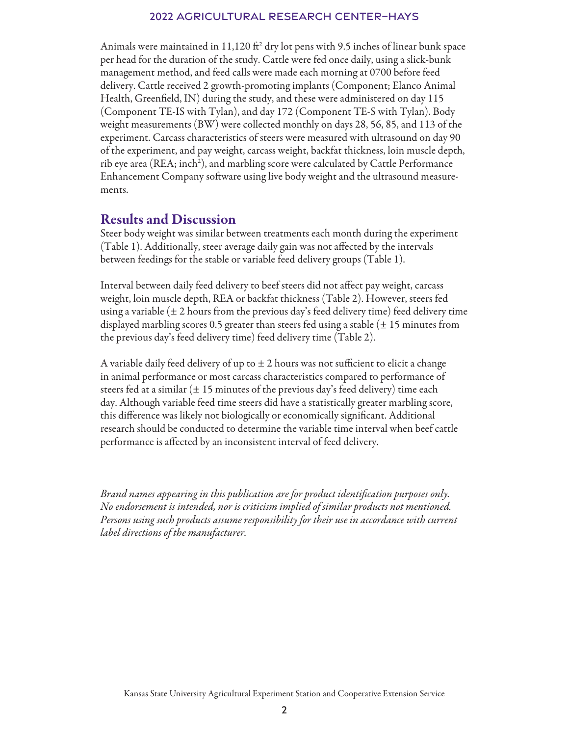#### 2022 Agricultural Research Center–Hays

Animals were maintained in 11,120  $\mathrm{ft}^2$  dry lot pens with 9.5 inches of linear bunk space per head for the duration of the study. Cattle were fed once daily, using a slick-bunk management method, and feed calls were made each morning at 0700 before feed delivery. Cattle received 2 growth-promoting implants (Component; Elanco Animal Health, Greenfield, IN) during the study, and these were administered on day 115 (Component TE-IS with Tylan), and day 172 (Component TE-S with Tylan). Body weight measurements (BW) were collected monthly on days 28, 56, 85, and 113 of the experiment. Carcass characteristics of steers were measured with ultrasound on day 90 of the experiment, and pay weight, carcass weight, backfat thickness, loin muscle depth, rib eye area (REA; inch<sup>2</sup>), and marbling score were calculated by Cattle Performance Enhancement Company software using live body weight and the ultrasound measurements.

#### Results and Discussion

Steer body weight was similar between treatments each month during the experiment (Table 1). Additionally, steer average daily gain was not affected by the intervals between feedings for the stable or variable feed delivery groups (Table 1).

Interval between daily feed delivery to beef steers did not affect pay weight, carcass weight, loin muscle depth, REA or backfat thickness (Table 2). However, steers fed using a variable  $(\pm 2$  hours from the previous day's feed delivery time) feed delivery time displayed marbling scores 0.5 greater than steers fed using a stable  $(\pm 15$  minutes from the previous day's feed delivery time) feed delivery time (Table 2).

A variable daily feed delivery of up to  $\pm$  2 hours was not sufficient to elicit a change in animal performance or most carcass characteristics compared to performance of steers fed at a similar ( $\pm 15$  minutes of the previous day's feed delivery) time each day. Although variable feed time steers did have a statistically greater marbling score, this difference was likely not biologically or economically significant. Additional research should be conducted to determine the variable time interval when beef cattle performance is affected by an inconsistent interval of feed delivery.

*Brand names appearing in this publication are for product identification purposes only. No endorsement is intended, nor is criticism implied of similar products not mentioned. Persons using such products assume responsibility for their use in accordance with current label directions of the manufacturer.*